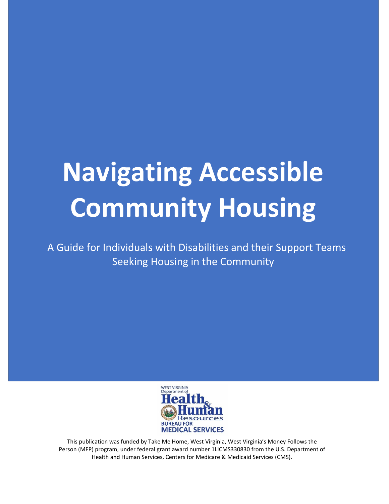# **Navigating Accessible Community Housing**

A Guide for Individuals with Disabilities and their Support Teams Seeking Housing in the Community



This publication was funded by Take Me Home, West Virginia, West Virginia's Money Follows the Person (MFP) program, under federal grant award number 1LICMS330830 from the U.S. Department of Health and Human Services, Centers for Medicare & Medicaid Services (CMS).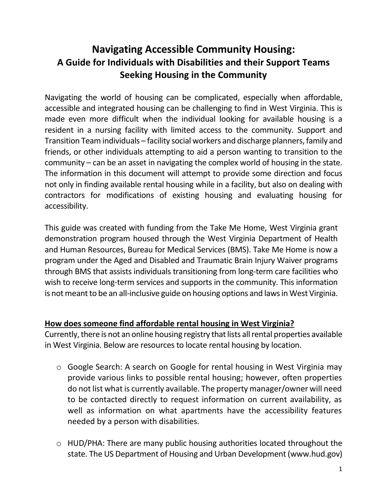# **Navigating Accessible Community Housing: A Guide for Individuals with Disabilities and their Support Teams Seeking Housing in the Community**

Navigating the world of housing can be complicated, especially when affordable, accessible and integrated housing can be challenging to find in West Virginia. This is made even more difficult when the individual looking for available housing is a resident in a nursing facility with limited access to the community. Support and Transition Team individuals – facility social workers and discharge planners, family and friends, or other individuals attempting to aid a person wanting to transition to the community – can be an asset in navigating the complex world of housing in the state. The information in this document will attempt to provide some direction and focus not only in finding available rental housing while in a facility, but also on dealing with contractors for modifications of existing housing and evaluating housing for accessibility.

This guide was created with funding from the Take Me Home, West Virginia grant demonstration program housed through the West Virginia Department of Health and Human Resources, Bureau for Medical Services (BMS). Take Me Home is now a program under the Aged and Disabled and Traumatic Brain Injury Waiver programs through BMS that assists individuals transitioning from long-term care facilities who wish to receive long-term services and supports in the community. This information is not meant to be an all-inclusive guide on housing options and laws in West Virginia.

#### **How does someone find affordable rental housing in West Virginia?**

Currently, there is not an online housing registry that lists all rental properties available in West Virginia. Below are resources to locate rental housing by location.

- o Google Search: A search on Google for rental housing in West Virginia may provide various links to possible rental housing; however, often properties do not list what is currently available. The property manager/owner will need to be contacted directly to request information on current availability, as well as information on what apartments have the accessibility features needed by a person with disabilities.
- o HUD/PHA: There are many public housing authorities located throughout the state. The US Department of Housing and Urban Development [\(www.hud.gov\)](http://www.hud.gov/)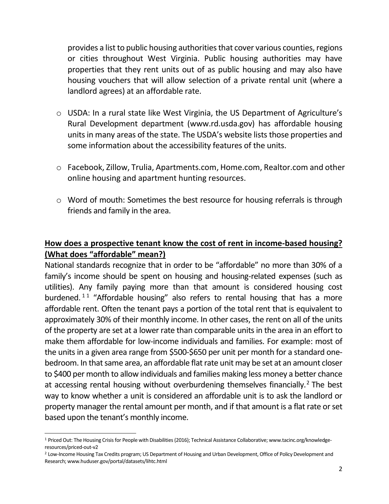provides a list to public housing authorities that cover various counties, regions or cities throughout West Virginia. Public housing authorities may have properties that they rent units out of as public housing and may also have housing vouchers that will allow selection of a private rental unit (where a landlord agrees) at an affordable rate.

- o USDA: In a rural state like West Virginia, the US Department of Agriculture's Rural Development department [\(www.rd.usda.gov\)](http://www.rd.usda.gov/) has affordable housing units in many areas of the state. The USDA's website lists those properties and some information about the accessibility features of the units.
- o Facebook, Zillow, Trulia, [Apartments.com,](http://apartments.com/) [Home.com,](http://home.com/) [Realtor.com](http://realtor.com/) and other online housing and apartment hunting resources.
- o Word of mouth: Sometimes the best resource for housing referrals is through friends and family in the area.

# **How does a prospective tenant know the cost of rent in income-based housing? (What does "affordable" mean?)**

National standards recognize that in order to be "affordable" no more than 30% of a family's income should be spent on housing and housing-related expenses (such as utilities). Any family paying more than that amount is considered housing cost burdened.<sup>11</sup> "Affordable housing" also refers to rental housing that has a more affordable rent. Often the tenant pays a portion of the total rent that is equivalent to approximately 30% of their monthly income. In other cases, the rent on all of the units of the property are set at a lower rate than comparable units in the area in an effort to make them affordable for low-income individuals and families. For example: most of the units in a given area range from \$500-\$650 per unit per month for a standard onebedroom. In that same area, an affordable flat rate unit may be set at an amount closer to \$400 per month to allow individuals and families making less money a better chance at accessing rental housing without overburdening themselves financially.<sup>2</sup> The best way to know whether a unit is considered an affordable unit is to ask the landlord or property manager the rental amount per month, and if that amount is a flat rate or set based upon the tenant's monthly income.

<sup>1</sup> Priced Out: The Housing Crisis for People with Disabilities(2016); Technical Assistance Collaborative; www.tacinc.org/knowledgeresources/priced-out-v2

<sup>&</sup>lt;sup>2</sup> Low-Income Housing Tax Credits program; US Department of Housing and Urban Development, Office of Policy Development and Research; www.huduser.gov/portal/datasets/lihtc.html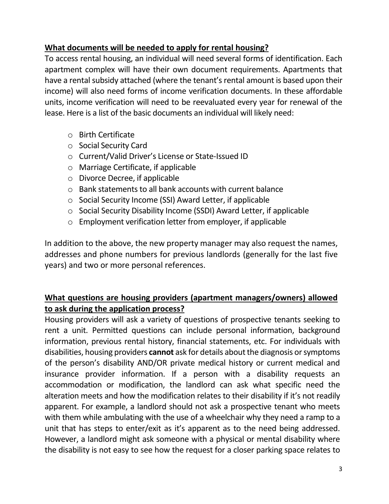#### **What documents will be needed to apply for rental housing?**

To access rental housing, an individual will need several forms of identification. Each apartment complex will have their own document requirements. Apartments that have a rental subsidy attached (where the tenant's rental amount is based upon their income) will also need forms of income verification documents. In these affordable units, income verification will need to be reevaluated every year for renewal of the lease. Here is a list of the basic documents an individual will likely need:

- o Birth Certificate
- o Social Security Card
- o Current/Valid Driver's License or State-Issued ID
- o Marriage Certificate, if applicable
- o Divorce Decree, if applicable
- o Bank statements to all bank accounts with current balance
- o Social Security Income (SSI) Award Letter, if applicable
- o Social Security Disability Income (SSDI) Award Letter, if applicable
- o Employment verification letter from employer, if applicable

In addition to the above, the new property manager may also request the names, addresses and phone numbers for previous landlords (generally for the last five years) and two or more personal references.

# **What questions are housing providers (apartment managers/owners) allowed to ask during the application process?**

Housing providers will ask a variety of questions of prospective tenants seeking to rent a unit. Permitted questions can include personal information, background information, previous rental history, financial statements, etc. For individuals with disabilities, housing providers **cannot** ask for details about the diagnosis or symptoms of the person's disability AND/OR private medical history or current medical and insurance provider information. If a person with a disability requests an accommodation or modification, the landlord can ask what specific need the alteration meets and how the modification relates to their disability if it's not readily apparent. For example, a landlord should not ask a prospective tenant who meets with them while ambulating with the use of a wheelchair why they need a ramp to a unit that has steps to enter/exit as it's apparent as to the need being addressed. However, a landlord might ask someone with a physical or mental disability where the disability is not easy to see how the request for a closer parking space relates to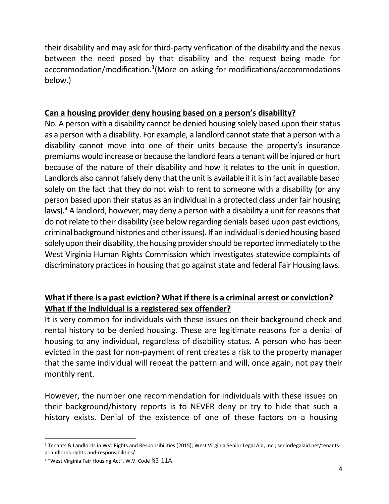their disability and may ask for third-party verification of the disability and the nexus between the need posed by that disability and the request being made for accommodation/modification.<sup>3</sup> (More on asking for modifications/accommodations below.)

#### **Can a housing provider deny housing based on a person's disability?**

No. A person with a disability cannot be denied housing solely based upon their status as a person with a disability. For example, a landlord cannot state that a person with a disability cannot move into one of their units because the property's insurance premiums would increase or because the landlord fears a tenant will be injured or hurt because of the nature of their disability and how it relates to the unit in question. Landlords also cannot falsely deny that the unit is available if it is in fact available based solely on the fact that they do not wish to rent to someone with a disability (or any person based upon their status as an individual in a protected class under fair housing laws).<sup>4</sup> A landlord, however, may deny a person with a disability a unit for reasons that do not relate to their disability (see below regarding denials based upon past evictions, criminal background histories and other issues). If an individual is denied housing based solely upon their disability, the housing provider should be reported immediately to the West Virginia Human Rights Commission which investigates statewide complaints of discriminatory practices in housing that go against state and federal Fair Housing laws.

# **What if there is a past eviction? What if there is a criminal arrest or conviction? What if the individual is a registered sex offender?**

It is very common for individuals with these issues on their background check and rental history to be denied housing. These are legitimate reasons for a denial of housing to any individual, regardless of disability status. A person who has been evicted in the past for non-payment of rent creates a risk to the property manager that the same individual will repeat the pattern and will, once again, not pay their monthly rent.

However, the number one recommendation for individuals with these issues on their background/history reports is to NEVER deny or try to hide that such a history exists. Denial of the existence of one of these factors on a housing

<sup>3</sup> Tenants & Landlords in WV: Rights and Responsibilities (2015); West Virginia Senior Legal Aid, Inc.; seniorlegalaid.net/tenantsa-landlords-rights-and-responsibilities/

<sup>4</sup> "West Virginia Fair Housing Act", W.V. Code §5-11A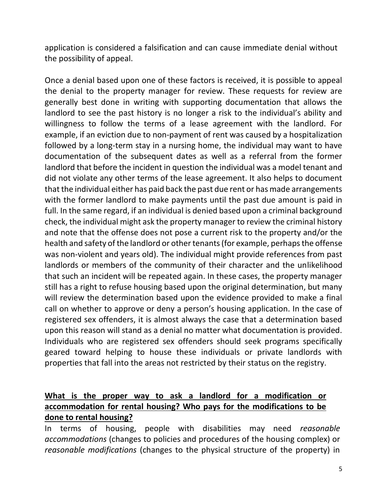application is considered a falsification and can cause immediate denial without the possibility of appeal.

Once a denial based upon one of these factors is received, it is possible to appeal the denial to the property manager for review. These requests for review are generally best done in writing with supporting documentation that allows the landlord to see the past history is no longer a risk to the individual's ability and willingness to follow the terms of a lease agreement with the landlord. For example, if an eviction due to non-payment of rent was caused by a hospitalization followed by a long-term stay in a nursing home, the individual may want to have documentation of the subsequent dates as well as a referral from the former landlord that before the incident in question the individual was a model tenant and did not violate any other terms of the lease agreement. It also helps to document that the individual either has paid back the past due rent or has made arrangements with the former landlord to make payments until the past due amount is paid in full. In the same regard, if an individual is denied based upon a criminal background check, the individual might ask the property manager to review the criminal history and note that the offense does not pose a current risk to the property and/or the health and safety of the landlord or other tenants (for example, perhaps the offense was non-violent and years old). The individual might provide references from past landlords or members of the community of their character and the unlikelihood that such an incident will be repeated again. In these cases, the property manager still has a right to refuse housing based upon the original determination, but many will review the determination based upon the evidence provided to make a final call on whether to approve or deny a person's housing application. In the case of registered sex offenders, it is almost always the case that a determination based upon this reason will stand as a denial no matter what documentation is provided. Individuals who are registered sex offenders should seek programs specifically geared toward helping to house these individuals or private landlords with properties that fall into the areas not restricted by their status on the registry.

#### **What is the proper way to ask a landlord for a modification or accommodation for rental housing? Who pays for the modifications to be done to rental housing?**

In terms of housing, people with disabilities may need *reasonable accommodations* (changes to policies and procedures of the housing complex) or *reasonable modifications* (changes to the physical structure of the property) in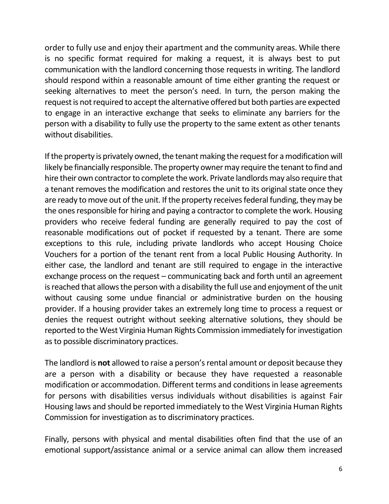order to fully use and enjoy their apartment and the community areas. While there is no specific format required for making a request, it is always best to put communication with the landlord concerning those requests in writing. The landlord should respond within a reasonable amount of time either granting the request or seeking alternatives to meet the person's need. In turn, the person making the request is not required to accept the alternative offered but both parties are expected to engage in an interactive exchange that seeks to eliminate any barriers for the person with a disability to fully use the property to the same extent as other tenants without disabilities.

If the property is privately owned, the tenant making the request for a modification will likely be financially responsible. The property owner may require the tenant to find and hire their own contractor to complete the work. Private landlords may also require that a tenant removes the modification and restores the unit to its original state once they are ready to move out of the unit. If the property receives federal funding, they may be the ones responsible for hiring and paying a contractor to complete the work. Housing providers who receive federal funding are generally required to pay the cost of reasonable modifications out of pocket if requested by a tenant. There are some exceptions to this rule, including private landlords who accept Housing Choice Vouchers for a portion of the tenant rent from a local Public Housing Authority. In either case, the landlord and tenant are still required to engage in the interactive exchange process on the request – communicating back and forth until an agreement is reached that allows the person with a disability the full use and enjoyment of the unit without causing some undue financial or administrative burden on the housing provider. If a housing provider takes an extremely long time to process a request or denies the request outright without seeking alternative solutions, they should be reported to the West Virginia Human Rights Commission immediately for investigation as to possible discriminatory practices.

The landlord is **not** allowed to raise a person's rental amount or deposit because they are a person with a disability or because they have requested a reasonable modification or accommodation. Different terms and conditions in lease agreements for persons with disabilities versus individuals without disabilities is against Fair Housing laws and should be reported immediately to the West Virginia Human Rights Commission for investigation as to discriminatory practices.

Finally, persons with physical and mental disabilities often find that the use of an emotional support/assistance animal or a service animal can allow them increased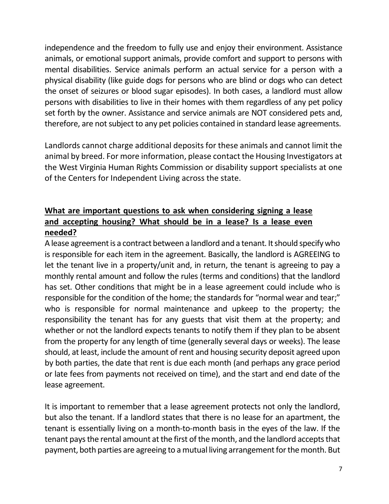independence and the freedom to fully use and enjoy their environment. Assistance animals, or emotional support animals, provide comfort and support to persons with mental disabilities. Service animals perform an actual service for a person with a physical disability (like guide dogs for persons who are blind or dogs who can detect the onset of seizures or blood sugar episodes). In both cases, a landlord must allow persons with disabilities to live in their homes with them regardless of any pet policy set forth by the owner. Assistance and service animals are NOT considered pets and, therefore, are not subject to any pet policies contained in standard lease agreements.

Landlords cannot charge additional deposits for these animals and cannot limit the animal by breed. For more information, please contact the Housing Investigators at the West Virginia Human Rights Commission or disability support specialists at one of the Centers for Independent Living across the state.

# **What are important questions to ask when considering signing a lease and accepting housing? What should be in a lease? Is a lease even needed?**

A lease agreement is a contract between a landlord and a tenant. It should specify who is responsible for each item in the agreement. Basically, the landlord is AGREEING to let the tenant live in a property/unit and, in return, the tenant is agreeing to pay a monthly rental amount and follow the rules (terms and conditions) that the landlord has set. Other conditions that might be in a lease agreement could include who is responsible for the condition of the home; the standards for "normal wear and tear;" who is responsible for normal maintenance and upkeep to the property; the responsibility the tenant has for any guests that visit them at the property; and whether or not the landlord expects tenants to notify them if they plan to be absent from the property for any length of time (generally several days or weeks). The lease should, at least, include the amount of rent and housing security deposit agreed upon by both parties, the date that rent is due each month (and perhaps any grace period or late fees from payments not received on time), and the start and end date of the lease agreement.

It is important to remember that a lease agreement protects not only the landlord, but also the tenant. If a landlord states that there is no lease for an apartment, the tenant is essentially living on a month-to-month basis in the eyes of the law. If the tenant pays the rental amount at the first of the month, and the landlord accepts that payment, both parties are agreeing to a mutual living arrangement for the month. But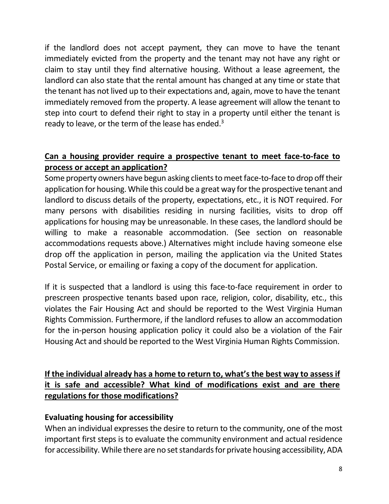if the landlord does not accept payment, they can move to have the tenant immediately evicted from the property and the tenant may not have any right or claim to stay until they find alternative housing. Without a lease agreement, the landlord can also state that the rental amount has changed at any time or state that the tenant has not lived up to their expectations and, again, move to have the tenant immediately removed from the property. A lease agreement will allow the tenant to step into court to defend their right to stay in a property until either the tenant is ready to leave, or the term of the lease has ended. $3$ 

# **Can a housing provider require a prospective tenant to meet face-to-face to process or accept an application?**

Some property owners have begun asking clients to meet face-to-face to drop off their application for housing. While this could be a great way for the prospective tenant and landlord to discuss details of the property, expectations, etc., it is NOT required. For many persons with disabilities residing in nursing facilities, visits to drop off applications for housing may be unreasonable. In these cases, the landlord should be willing to make a reasonable accommodation. (See section on reasonable accommodations requests above.) Alternatives might include having someone else drop off the application in person, mailing the application via the United States Postal Service, or emailing or faxing a copy of the document for application.

If it is suspected that a landlord is using this face-to-face requirement in order to prescreen prospective tenants based upon race, religion, color, disability, etc., this violates the Fair Housing Act and should be reported to the West Virginia Human Rights Commission. Furthermore, if the landlord refuses to allow an accommodation for the in-person housing application policy it could also be a violation of the Fair Housing Act and should be reported to the West Virginia Human Rights Commission.

# **If the individual already has a home to return to, what's the best way to assess if it is safe and accessible? What kind of modifications exist and are there regulations for those modifications?**

#### **Evaluating housing for accessibility**

When an individual expresses the desire to return to the community, one of the most important first steps is to evaluate the community environment and actual residence for accessibility. While there are no set standards for private housing accessibility, ADA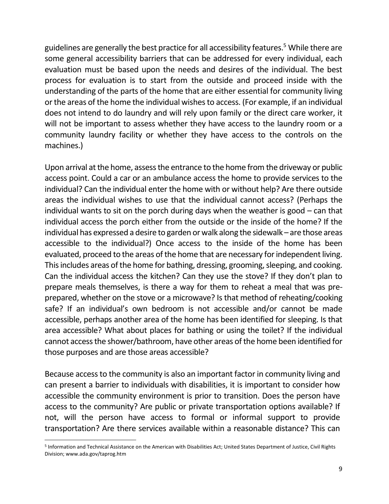guidelines are generally the best practice for all accessibility features.<sup>5</sup> While there are some general accessibility barriers that can be addressed for every individual, each evaluation must be based upon the needs and desires of the individual. The best process for evaluation is to start from the outside and proceed inside with the understanding of the parts of the home that are either essential for community living or the areas of the home the individual wishes to access. (For example, if an individual does not intend to do laundry and will rely upon family or the direct care worker, it will not be important to assess whether they have access to the laundry room or a community laundry facility or whether they have access to the controls on the machines.)

Upon arrival at the home, assess the entrance to the home from the driveway or public access point. Could a car or an ambulance access the home to provide services to the individual? Can the individual enter the home with or without help? Are there outside areas the individual wishes to use that the individual cannot access? (Perhaps the individual wants to sit on the porch during days when the weather is good – can that individual access the porch either from the outside or the inside of the home? If the individual has expressed a desire to garden or walk along the sidewalk – are those areas accessible to the individual?) Once access to the inside of the home has been evaluated, proceed to the areas of the home that are necessary for independent living. This includes areas of the home for bathing, dressing, grooming, sleeping, and cooking. Can the individual access the kitchen? Can they use the stove? If they don't plan to prepare meals themselves, is there a way for them to reheat a meal that was preprepared, whether on the stove or a microwave? Is that method of reheating/cooking safe? If an individual's own bedroom is not accessible and/or cannot be made accessible, perhaps another area of the home has been identified for sleeping. Is that area accessible? What about places for bathing or using the toilet? If the individual cannot access the shower/bathroom, have other areas of the home been identified for those purposes and are those areas accessible?

Because access to the community is also an important factor in community living and can present a barrier to individuals with disabilities, it is important to consider how accessible the community environment is prior to transition. Does the person have access to the community? Are public or private transportation options available? If not, will the person have access to formal or informal support to provide transportation? Are there services available within a reasonable distance? This can

<sup>5</sup> Information and Technical Assistance on the American with Disabilities Act; United States Department of Justice, Civil Rights Division; www.ada.gov/taprog.htm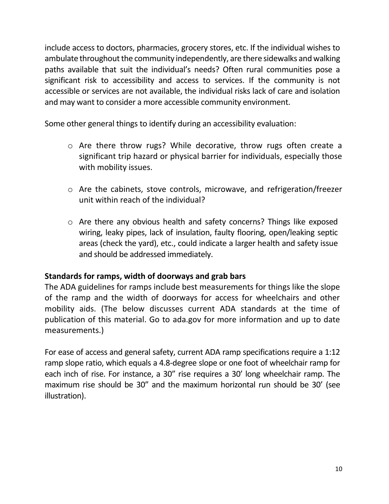include access to doctors, pharmacies, grocery stores, etc. If the individual wishes to ambulate throughout the community independently, are there sidewalks and walking paths available that suit the individual's needs? Often rural communities pose a significant risk to accessibility and access to services. If the community is not accessible or services are not available, the individual risks lack of care and isolation and may want to consider a more accessible community environment.

Some other general things to identify during an accessibility evaluation:

- o Are there throw rugs? While decorative, throw rugs often create a significant trip hazard or physical barrier for individuals, especially those with mobility issues.
- o Are the cabinets, stove controls, microwave, and refrigeration/freezer unit within reach of the individual?
- o Are there any obvious health and safety concerns? Things like exposed wiring, leaky pipes, lack of insulation, faulty flooring, open/leaking septic areas (check the yard), etc., could indicate a larger health and safety issue and should be addressed immediately.

# **Standards for ramps, width of doorways and grab bars**

The ADA guidelines for ramps include best measurements for things like the slope of the ramp and the width of doorways for access for wheelchairs and other mobility aids. (The below discusses current ADA standards at the time of publication of this material. Go to [ada.gov](http://ada.gov/) for more information and up to date measurements.)

For ease of access and general safety, current ADA ramp specifications require a 1:12 ramp slope ratio, which equals a 4.8-degree slope or one foot of wheelchair ramp for each inch of rise. For instance, a 30" rise requires a 30' long wheelchair ramp. The maximum rise should be 30" and the maximum horizontal run should be 30' (see illustration).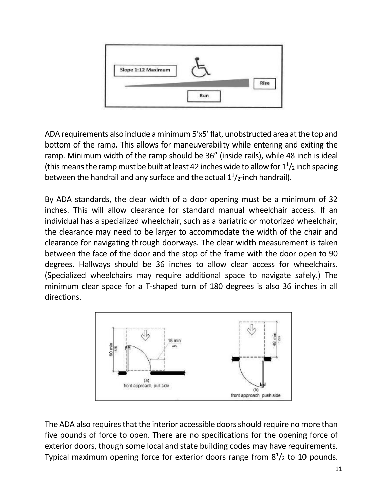

ADA requirements also include a minimum 5'x5' flat, unobstructed area at the top and bottom of the ramp. This allows for maneuverability while entering and exiting the ramp. Minimum width of the ramp should be 36" (inside rails), while 48 inch is ideal (this means the ramp must be built at least 42 inches wide to allow for  $1<sup>1</sup>/2$  inch spacing between the handrail and any surface and the actual  $1<sup>1</sup>/2$ -inch handrail).

By ADA standards, the clear width of a door opening must be a minimum of 32 inches. This will allow clearance for standard manual wheelchair access. If an individual has a specialized wheelchair, such as a bariatric or motorized wheelchair, the clearance may need to be larger to accommodate the width of the chair and clearance for navigating through doorways. The clear width measurement is taken between the face of the door and the stop of the frame with the door open to 90 degrees. Hallways should be 36 inches to allow clear access for wheelchairs. (Specialized wheelchairs may require additional space to navigate safely.) The minimum clear space for a T-shaped turn of 180 degrees is also 36 inches in all directions.



The ADA also requires that the interior accessible doors should require no more than five pounds of force to open. There are no specifications for the opening force of exterior doors, though some local and state building codes may have requirements. Typical maximum opening force for exterior doors range from  $8<sup>1</sup>/2$  to 10 pounds.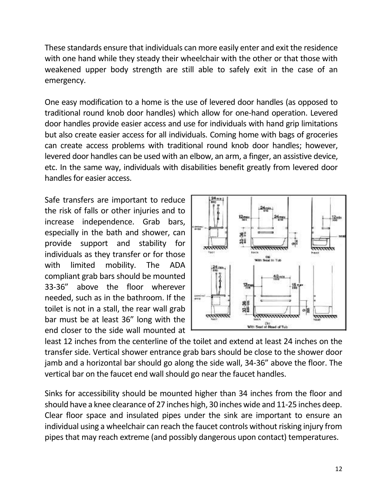These standards ensure that individuals can more easily enter and exit the residence with one hand while they steady their wheelchair with the other or that those with weakened upper body strength are still able to safely exit in the case of an emergency.

One easy modification to a home is the use of levered door handles (as opposed to traditional round knob door handles) which allow for one-hand operation. Levered door handles provide easier access and use for individuals with hand grip limitations but also create easier access for all individuals. Coming home with bags of groceries can create access problems with traditional round knob door handles; however, levered door handles can be used with an elbow, an arm, a finger, an assistive device, etc. In the same way, individuals with disabilities benefit greatly from levered door handles for easier access.

Safe transfers are important to reduce the risk of falls or other injuries and to increase independence. Grab bars, especially in the bath and shower, can provide support and stability for individuals as they transfer or for those with limited mobility. The ADA compliant grab bars should be mounted 33-36" above the floor wherever needed, such as in the bathroom. If the toilet is not in a stall, the rear wall grab bar must be at least 36" long with the end closer to the side wall mounted at



least 12 inches from the centerline of the toilet and extend at least 24 inches on the transfer side. Vertical shower entrance grab bars should be close to the shower door jamb and a horizontal bar should go along the side wall, 34-36" above the floor. The vertical bar on the faucet end wall should go near the faucet handles.

Sinks for accessibility should be mounted higher than 34 inches from the floor and should have a knee clearance of 27 inches high, 30 inches wide and 11-25 inches deep. Clear floor space and insulated pipes under the sink are important to ensure an individual using a wheelchair can reach the faucet controls without risking injury from pipes that may reach extreme (and possibly dangerous upon contact) temperatures.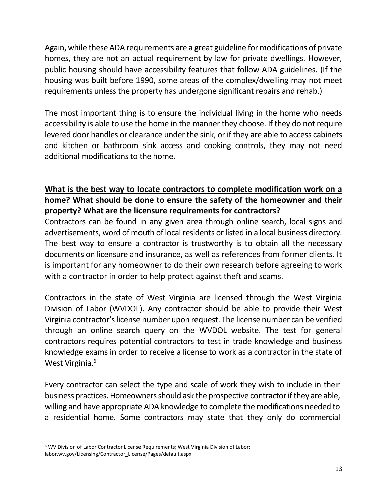Again, while these ADA requirements are a great guideline for modifications of private homes, they are not an actual requirement by law for private dwellings. However, public housing should have accessibility features that follow ADA guidelines. (If the housing was built before 1990, some areas of the complex/dwelling may not meet requirements unless the property has undergone significant repairs and rehab.)

The most important thing is to ensure the individual living in the home who needs accessibility is able to use the home in the manner they choose. If they do not require levered door handles or clearance under the sink, or if they are able to access cabinets and kitchen or bathroom sink access and cooking controls, they may not need additional modifications to the home.

# **What is the best way to locate contractors to complete modification work on a home? What should be done to ensure the safety of the homeowner and their property? What are the licensure requirements for contractors?**

Contractors can be found in any given area through online search, local signs and advertisements, word of mouth of local residents or listed in a local business directory. The best way to ensure a contractor is trustworthy is to obtain all the necessary documents on licensure and insurance, as well as references from former clients. It is important for any homeowner to do their own research before agreeing to work with a contractor in order to help protect against theft and scams.

Contractors in the state of West Virginia are licensed through the West Virginia Division of Labor (WVDOL). Any contractor should be able to provide their West Virginia contractor's license number upon request. The license number can be verified through an online search query on the WVDOL website. The test for general contractors requires potential contractors to test in trade knowledge and business knowledge exams in order to receive a license to work as a contractor in the state of West Virginia.<sup>6</sup>

Every contractor can select the type and scale of work they wish to include in their business practices. Homeowners should ask the prospective contractor if they are able, willing and have appropriate ADA knowledge to complete the modifications needed to a residential home. Some contractors may state that they only do commercial

<sup>6</sup> WV Division of Labor Contractor License Requirements; West Virginia Division of Labor; labor.wv.gov/Licensing/Contractor\_License/Pages/default.aspx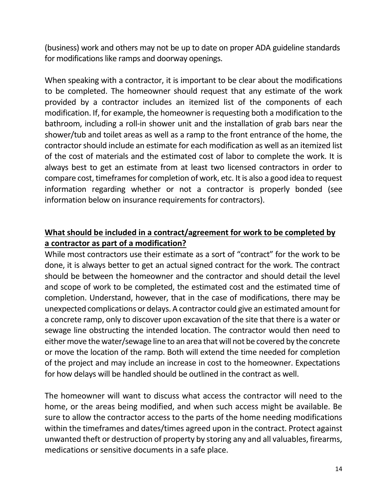(business) work and others may not be up to date on proper ADA guideline standards for modifications like ramps and doorway openings.

When speaking with a contractor, it is important to be clear about the modifications to be completed. The homeowner should request that any estimate of the work provided by a contractor includes an itemized list of the components of each modification. If, for example, the homeowner is requesting both a modification to the bathroom, including a roll-in shower unit and the installation of grab bars near the shower/tub and toilet areas as well as a ramp to the front entrance of the home, the contractor should include an estimate for each modification as well as an itemized list of the cost of materials and the estimated cost of labor to complete the work. It is always best to get an estimate from at least two licensed contractors in order to compare cost, timeframes for completion of work, etc. It is also a good idea to request information regarding whether or not a contractor is properly bonded (see information below on insurance requirements for contractors).

# **What should be included in a contract/agreement for work to be completed by a contractor as part of a modification?**

While most contractors use their estimate as a sort of "contract" for the work to be done, it is always better to get an actual signed contract for the work. The contract should be between the homeowner and the contractor and should detail the level and scope of work to be completed, the estimated cost and the estimated time of completion. Understand, however, that in the case of modifications, there may be unexpected complications or delays. A contractor could give an estimated amount for a concrete ramp, only to discover upon excavation of the site that there is a water or sewage line obstructing the intended location. The contractor would then need to either move the water/sewage line to an area that will not be covered by the concrete or move the location of the ramp. Both will extend the time needed for completion of the project and may include an increase in cost to the homeowner. Expectations for how delays will be handled should be outlined in the contract as well.

The homeowner will want to discuss what access the contractor will need to the home, or the areas being modified, and when such access might be available. Be sure to allow the contractor access to the parts of the home needing modifications within the timeframes and dates/times agreed upon in the contract. Protect against unwanted theft or destruction of property by storing any and all valuables, firearms, medications or sensitive documents in a safe place.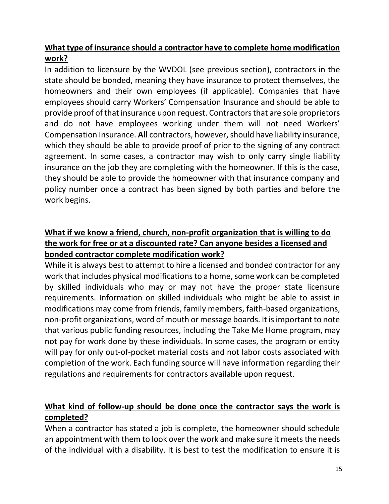# **What type of insurance should a contractor have to complete home modification work?**

In addition to licensure by the WVDOL (see previous section), contractors in the state should be bonded, meaning they have insurance to protect themselves, the homeowners and their own employees (if applicable). Companies that have employees should carry Workers' Compensation Insurance and should be able to provide proof of that insurance upon request. Contractors that are sole proprietors and do not have employees working under them will not need Workers' Compensation Insurance. **All** contractors, however, should have liability insurance, which they should be able to provide proof of prior to the signing of any contract agreement. In some cases, a contractor may wish to only carry single liability insurance on the job they are completing with the homeowner. If this is the case, they should be able to provide the homeowner with that insurance company and policy number once a contract has been signed by both parties and before the work begins.

# **What if we know a friend, church, non-profit organization that is willing to do the work for free or at a discounted rate? Can anyone besides a licensed and bonded contractor complete modification work?**

While it is always best to attempt to hire a licensed and bonded contractor for any work that includes physical modifications to a home, some work can be completed by skilled individuals who may or may not have the proper state licensure requirements. Information on skilled individuals who might be able to assist in modifications may come from friends, family members, faith-based organizations, non-profit organizations, word of mouth or message boards. It is important to note that various public funding resources, including the Take Me Home program, may not pay for work done by these individuals. In some cases, the program or entity will pay for only out-of-pocket material costs and not labor costs associated with completion of the work. Each funding source will have information regarding their regulations and requirements for contractors available upon request.

# **What kind of follow-up should be done once the contractor says the work is completed?**

When a contractor has stated a job is complete, the homeowner should schedule an appointment with them to look over the work and make sure it meets the needs of the individual with a disability. It is best to test the modification to ensure it is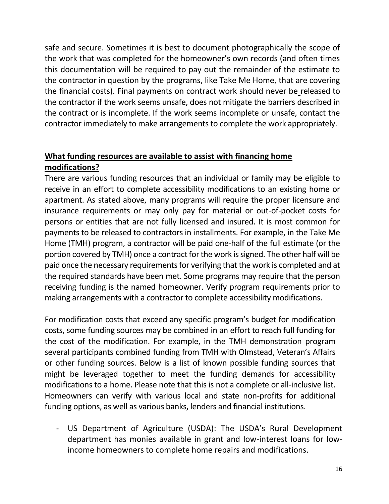safe and secure. Sometimes it is best to document photographically the scope of the work that was completed for the homeowner's own records (and often times this documentation will be required to pay out the remainder of the estimate to the contractor in question by the programs, like Take Me Home, that are covering the financial costs). Final payments on contract work should never be released to the contractor if the work seems unsafe, does not mitigate the barriers described in the contract or is incomplete. If the work seems incomplete or unsafe, contact the contractor immediately to make arrangements to complete the work appropriately.

# **What funding resources are available to assist with financing home modifications?**

There are various funding resources that an individual or family may be eligible to receive in an effort to complete accessibility modifications to an existing home or apartment. As stated above, many programs will require the proper licensure and insurance requirements or may only pay for material or out-of-pocket costs for persons or entities that are not fully licensed and insured. It is most common for payments to be released to contractors in installments. For example, in the Take Me Home (TMH) program, a contractor will be paid one-half of the full estimate (or the portion covered by TMH) once a contract for the work is signed. The other half will be paid once the necessary requirements for verifying that the work is completed and at the required standards have been met. Some programs may require that the person receiving funding is the named homeowner. Verify program requirements prior to making arrangements with a contractor to complete accessibility modifications.

For modification costs that exceed any specific program's budget for modification costs, some funding sources may be combined in an effort to reach full funding for the cost of the modification. For example, in the TMH demonstration program several participants combined funding from TMH with Olmstead, Veteran's Affairs or other funding sources. Below is a list of known possible funding sources that might be leveraged together to meet the funding demands for accessibility modifications to a home. Please note that this is not a complete or all-inclusive list. Homeowners can verify with various local and state non-profits for additional funding options, as well as various banks, lenders and financial institutions.

- US Department of Agriculture (USDA): The USDA's Rural Development department has monies available in grant and low-interest loans for lowincome homeowners to complete home repairs and modifications.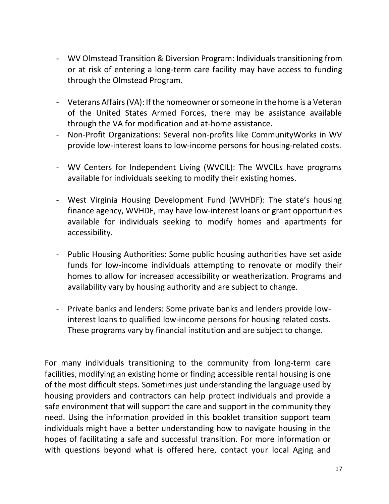- WV Olmstead Transition & Diversion Program: Individuals transitioning from or at risk of entering a long-term care facility may have access to funding through the Olmstead Program.
- Veterans Affairs (VA): If the homeowner or someone in the home is a Veteran of the United States Armed Forces, there may be assistance available through the VA for modification and at-home assistance.
- Non-Profit Organizations: Several non-profits like CommunityWorks in WV provide low-interest loans to low-income persons for housing-related costs.
- WV Centers for Independent Living (WVCIL): The WVCILs have programs available for individuals seeking to modify their existing homes.
- West Virginia Housing Development Fund (WVHDF): The state's housing finance agency, WVHDF, may have low-interest loans or grant opportunities available for individuals seeking to modify homes and apartments for accessibility.
- Public Housing Authorities: Some public housing authorities have set aside funds for low-income individuals attempting to renovate or modify their homes to allow for increased accessibility or weatherization. Programs and availability vary by housing authority and are subject to change.
- Private banks and lenders: Some private banks and lenders provide lowinterest loans to qualified low-income persons for housing related costs. These programs vary by financial institution and are subject to change.

For many individuals transitioning to the community from long-term care facilities, modifying an existing home or finding accessible rental housing is one of the most difficult steps. Sometimes just understanding the language used by housing providers and contractors can help protect individuals and provide a safe environment that will support the care and support in the community they need. Using the information provided in this booklet transition support team individuals might have a better understanding how to navigate housing in the hopes of facilitating a safe and successful transition. For more information or with questions beyond what is offered here, contact your local Aging and